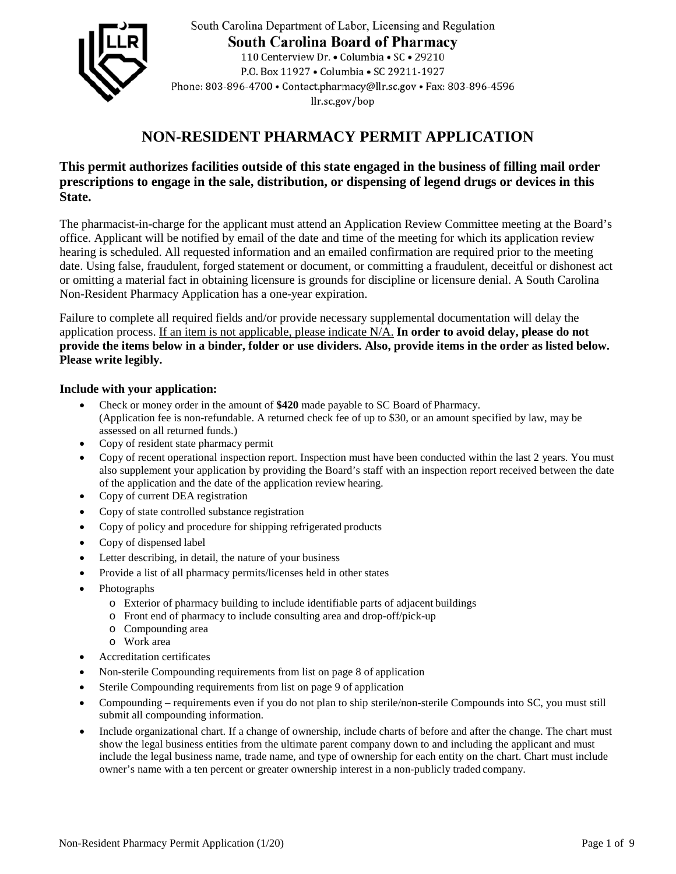

South Carolina Department of Labor, Licensing and Regulation **South Carolina Board of Pharmacy** 110 Centerview Dr. • Columbia • SC • 29210 P.O. Box 11927 . Columbia . SC 29211-1927 Phone: 803-896-4700 · Contact.pharmacy@llr.sc.gov · Fax: 803-896-4596 llr.sc.gov/bop

# **NON-RESIDENT PHARMACY PERMIT APPLICATION**

## **This permit authorizes facilities outside of this state engaged in the business of filling mail order prescriptions to engage in the sale, distribution, or dispensing of legend drugs or devices in this State.**

The pharmacist-in-charge for the applicant must attend an Application Review Committee meeting at the Board's office. Applicant will be notified by email of the date and time of the meeting for which its application review hearing is scheduled. All requested information and an emailed confirmation are required prior to the meeting date. Using false, fraudulent, forged statement or document, or committing a fraudulent, deceitful or dishonest act or omitting a material fact in obtaining licensure is grounds for discipline or licensure denial. A South Carolina Non-Resident Pharmacy Application has a one-year expiration.

Failure to complete all required fields and/or provide necessary supplemental documentation will delay the application process. If an item is not applicable, please indicate N/A. **In order to avoid delay, please do not provide the items below in a binder, folder or use dividers. Also, provide items in the order as listed below. Please write legibly.**

### **Include with your application:**

- Check or money order in the amount of **\$420** made payable to SC Board of Pharmacy. (Application fee is non-refundable. A returned check fee of up to \$30, or an amount specified by law, may be assessed on all returned funds.)
- Copy of resident state pharmacy permit
- Copy of recent operational inspection report. Inspection must have been conducted within the last 2 years. You must also supplement your application by providing the Board's staff with an inspection report received between the date of the application and the date of the application review hearing.
- Copy of current DEA registration
- Copy of state controlled substance registration
- Copy of policy and procedure for shipping refrigerated products
- Copy of dispensed label
- Letter describing, in detail, the nature of your business
- Provide a list of all pharmacy permits/licenses held in other states
- Photographs
	- o Exterior of pharmacy building to include identifiable parts of adjacent buildings
	- o Front end of pharmacy to include consulting area and drop-off/pick-up
	- o Compounding area
	- o Work area
- Accreditation certificates
- Non-sterile Compounding requirements from list on page 8 of application
- Sterile Compounding requirements from list on page 9 of application
- Compounding requirements even if you do not plan to ship sterile/non-sterile Compounds into SC, you must still submit all compounding information.
- Include organizational chart. If a change of ownership, include charts of before and after the change. The chart must show the legal business entities from the ultimate parent company down to and including the applicant and must include the legal business name, trade name, and type of ownership for each entity on the chart. Chart must include owner's name with a ten percent or greater ownership interest in a non-publicly traded company.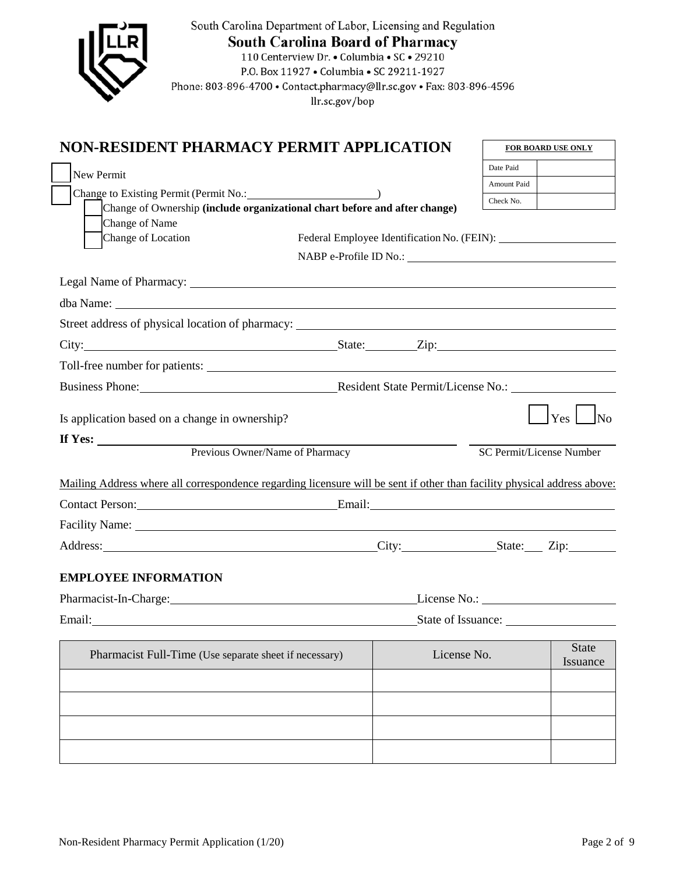| Phone: 803-896-4700 · Contact.pharmacy@llr.sc.gov · Fax: 803-896-4596                                                                                                                                                         | South Carolina Department of Labor, Licensing and Regulation<br><b>South Carolina Board of Pharmacy</b><br>110 Centerview Dr. • Columbia • SC • 29210<br>P.O. Box 11927 . Columbia . SC 29211-1927<br>llr.sc.gov/bop |                   |                                 |                          |
|-------------------------------------------------------------------------------------------------------------------------------------------------------------------------------------------------------------------------------|----------------------------------------------------------------------------------------------------------------------------------------------------------------------------------------------------------------------|-------------------|---------------------------------|--------------------------|
| NON-RESIDENT PHARMACY PERMIT APPLICATION                                                                                                                                                                                      |                                                                                                                                                                                                                      |                   |                                 | FOR BOARD USE ONLY       |
| New Permit                                                                                                                                                                                                                    |                                                                                                                                                                                                                      |                   | Date Paid                       |                          |
| Change to Existing Permit (Permit No.: 1997)                                                                                                                                                                                  |                                                                                                                                                                                                                      |                   | Amount Paid                     |                          |
| Change of Ownership (include organizational chart before and after change)                                                                                                                                                    |                                                                                                                                                                                                                      |                   | Check No.                       |                          |
| Change of Name                                                                                                                                                                                                                |                                                                                                                                                                                                                      |                   |                                 |                          |
| Change of Location                                                                                                                                                                                                            |                                                                                                                                                                                                                      |                   |                                 |                          |
|                                                                                                                                                                                                                               | NABP e-Profile ID No.:                                                                                                                                                                                               |                   |                                 |                          |
| Legal Name of Pharmacy: 1988 and 2008 and 2008 and 2008 and 2008 and 2008 and 2008 and 2008 and 2008 and 2008 and 2008 and 2008 and 2008 and 2008 and 2008 and 2008 and 2008 and 2008 and 2008 and 2008 and 2008 and 2008 and |                                                                                                                                                                                                                      |                   |                                 |                          |
|                                                                                                                                                                                                                               |                                                                                                                                                                                                                      |                   |                                 |                          |
|                                                                                                                                                                                                                               |                                                                                                                                                                                                                      |                   |                                 |                          |
|                                                                                                                                                                                                                               |                                                                                                                                                                                                                      |                   |                                 |                          |
|                                                                                                                                                                                                                               |                                                                                                                                                                                                                      |                   |                                 |                          |
|                                                                                                                                                                                                                               |                                                                                                                                                                                                                      |                   |                                 |                          |
| Is application based on a change in ownership?                                                                                                                                                                                |                                                                                                                                                                                                                      |                   |                                 | $\vert$ Yes $\vert$ No   |
| If Yes: Previous Owner/Name of Pharmacy                                                                                                                                                                                       |                                                                                                                                                                                                                      |                   | <b>SC Permit/License Number</b> |                          |
|                                                                                                                                                                                                                               |                                                                                                                                                                                                                      |                   |                                 |                          |
| Mailing Address where all correspondence regarding licensure will be sent if other than facility physical address above:                                                                                                      |                                                                                                                                                                                                                      |                   |                                 |                          |
| Contact Person: Email: Email:                                                                                                                                                                                                 |                                                                                                                                                                                                                      |                   |                                 |                          |
|                                                                                                                                                                                                                               |                                                                                                                                                                                                                      |                   |                                 |                          |
|                                                                                                                                                                                                                               |                                                                                                                                                                                                                      | City: State: Zip: |                                 |                          |
| <b>EMPLOYEE INFORMATION</b>                                                                                                                                                                                                   |                                                                                                                                                                                                                      |                   |                                 |                          |
| Pharmacist-In-Charge: 2008. [2016]                                                                                                                                                                                            |                                                                                                                                                                                                                      |                   |                                 |                          |
|                                                                                                                                                                                                                               |                                                                                                                                                                                                                      |                   | State of Issuance:              |                          |
| Pharmacist Full-Time (Use separate sheet if necessary)                                                                                                                                                                        |                                                                                                                                                                                                                      | License No.       |                                 | <b>State</b><br>Issuance |
|                                                                                                                                                                                                                               |                                                                                                                                                                                                                      |                   |                                 |                          |
|                                                                                                                                                                                                                               |                                                                                                                                                                                                                      |                   |                                 |                          |
|                                                                                                                                                                                                                               |                                                                                                                                                                                                                      |                   |                                 |                          |
|                                                                                                                                                                                                                               |                                                                                                                                                                                                                      |                   |                                 |                          |
|                                                                                                                                                                                                                               |                                                                                                                                                                                                                      |                   |                                 |                          |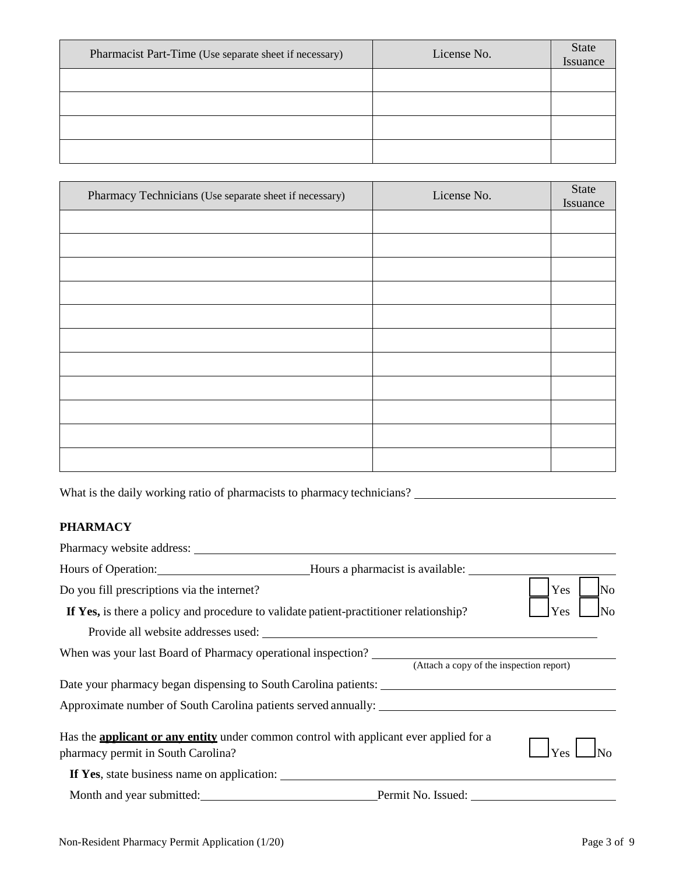| Pharmacist Part-Time (Use separate sheet if necessary) | License No. | State<br>Issuance |
|--------------------------------------------------------|-------------|-------------------|
|                                                        |             |                   |
|                                                        |             |                   |
|                                                        |             |                   |
|                                                        |             |                   |

| Pharmacy Technicians (Use separate sheet if necessary) | License No. | <b>State</b><br>Issuance |
|--------------------------------------------------------|-------------|--------------------------|
|                                                        |             |                          |
|                                                        |             |                          |
|                                                        |             |                          |
|                                                        |             |                          |
|                                                        |             |                          |
|                                                        |             |                          |
|                                                        |             |                          |
|                                                        |             |                          |
|                                                        |             |                          |
|                                                        |             |                          |
|                                                        |             |                          |

What is the daily working ratio of pharmacists to pharmacy technicians?

## **PHARMACY**

| Pharmacy website address: Universe of the set of the set of the set of the set of the set of the set of the set of the set of the set of the set of the set of the set of the set of the set of the set of the set of the set |                                                      |                       |
|-------------------------------------------------------------------------------------------------------------------------------------------------------------------------------------------------------------------------------|------------------------------------------------------|-----------------------|
|                                                                                                                                                                                                                               | Hours of Operation: Mours a pharmacist is available: |                       |
| Do you fill prescriptions via the internet?                                                                                                                                                                                   |                                                      | Yes<br>N <sub>o</sub> |
| If Yes, is there a policy and procedure to validate patient-practitioner relationship?                                                                                                                                        |                                                      | Yes                   |
|                                                                                                                                                                                                                               |                                                      |                       |
| When was your last Board of Pharmacy operational inspection?                                                                                                                                                                  | (Attach a copy of the inspection report)             |                       |
|                                                                                                                                                                                                                               |                                                      |                       |
|                                                                                                                                                                                                                               |                                                      |                       |
| Has the <b>applicant or any entity</b> under common control with applicant ever applied for a<br>pharmacy permit in South Carolina?                                                                                           |                                                      | Yes                   |
| If Yes, state business name on application:                                                                                                                                                                                   |                                                      |                       |
|                                                                                                                                                                                                                               | Month and year submitted: <u>Permit</u> No. Issued:  |                       |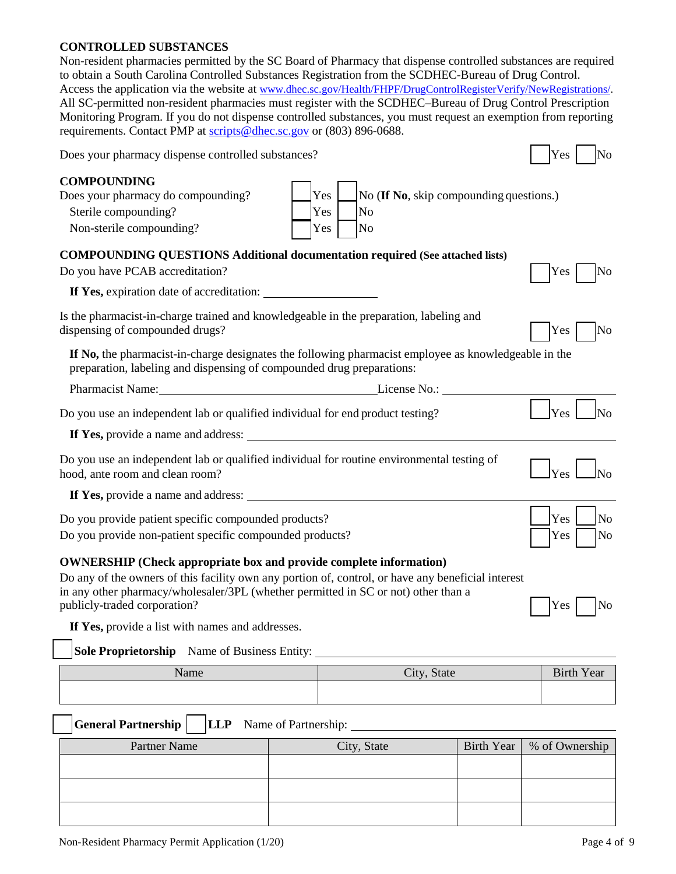#### **CONTROLLED SUBSTANCES**

Non-resident pharmacies permitted by the SC Board of Pharmacy that dispense controlled substances are required to obtain a South Carolina Controlled Substances Registration from the SCDHEC-Bureau of Drug Control. Access the application via the website at www.dhec.sc.gov/Health/FHPF/DrugControlRegisterVerify/NewRegistrations/. All SC-permitted non-resident pharmacies must register with the SCDHEC–Bureau of Drug Control Prescription Monitoring Program. If you do not dispense controlled substances, you must request an exemption from reporting requirements. Contact PMP at scripts@dhec.sc.gov or (803) 896-0688.

| Does your pharmacy dispense controlled substances?                                                                                                                                                                                                                                                    | Yes<br>No             |
|-------------------------------------------------------------------------------------------------------------------------------------------------------------------------------------------------------------------------------------------------------------------------------------------------------|-----------------------|
| <b>COMPOUNDING</b><br>Yes<br>Does your pharmacy do compounding?<br>No (If No, skip compounding questions.)<br>Sterile compounding?<br>Yes<br>No<br>Yes<br>Non-sterile compounding?<br>No                                                                                                              |                       |
| <b>COMPOUNDING QUESTIONS Additional documentation required (See attached lists)</b>                                                                                                                                                                                                                   |                       |
| Do you have PCAB accreditation?                                                                                                                                                                                                                                                                       | Yes<br>No             |
| If Yes, expiration date of accreditation:                                                                                                                                                                                                                                                             |                       |
| Is the pharmacist-in-charge trained and knowledgeable in the preparation, labeling and<br>dispensing of compounded drugs?                                                                                                                                                                             | Yes<br>No             |
| If No, the pharmacist-in-charge designates the following pharmacist employee as knowledgeable in the<br>preparation, labeling and dispensing of compounded drug preparations:                                                                                                                         |                       |
| Pharmacist Name: License No.: License No.:                                                                                                                                                                                                                                                            |                       |
| Do you use an independent lab or qualified individual for end product testing?                                                                                                                                                                                                                        | <b>Yes</b>            |
| If Yes, provide a name and address:                                                                                                                                                                                                                                                                   |                       |
| Do you use an independent lab or qualified individual for routine environmental testing of<br>hood, ante room and clean room?                                                                                                                                                                         |                       |
| If Yes, provide a name and address:                                                                                                                                                                                                                                                                   |                       |
| Do you provide patient specific compounded products?                                                                                                                                                                                                                                                  | Yes<br>N <sub>o</sub> |
| Do you provide non-patient specific compounded products?                                                                                                                                                                                                                                              | Yes<br>No             |
| <b>OWNERSHIP</b> (Check appropriate box and provide complete information)<br>Do any of the owners of this facility own any portion of, control, or have any beneficial interest<br>in any other pharmacy/wholesaler/3PL (whether permitted in SC or not) other than a<br>publicly-traded corporation? | No<br>Yes             |
| If Yes, provide a list with names and addresses.                                                                                                                                                                                                                                                      |                       |

**Sole Proprietorship** Name of Business Entity:

| Name | City, State | <b>Birth Year</b> |
|------|-------------|-------------------|
|      |             |                   |

**General Partnership LLP** Name of Partnership:

| Partner Name | City, State | Birth Year   % of Ownership |
|--------------|-------------|-----------------------------|
|              |             |                             |
|              |             |                             |
|              |             |                             |
|              |             |                             |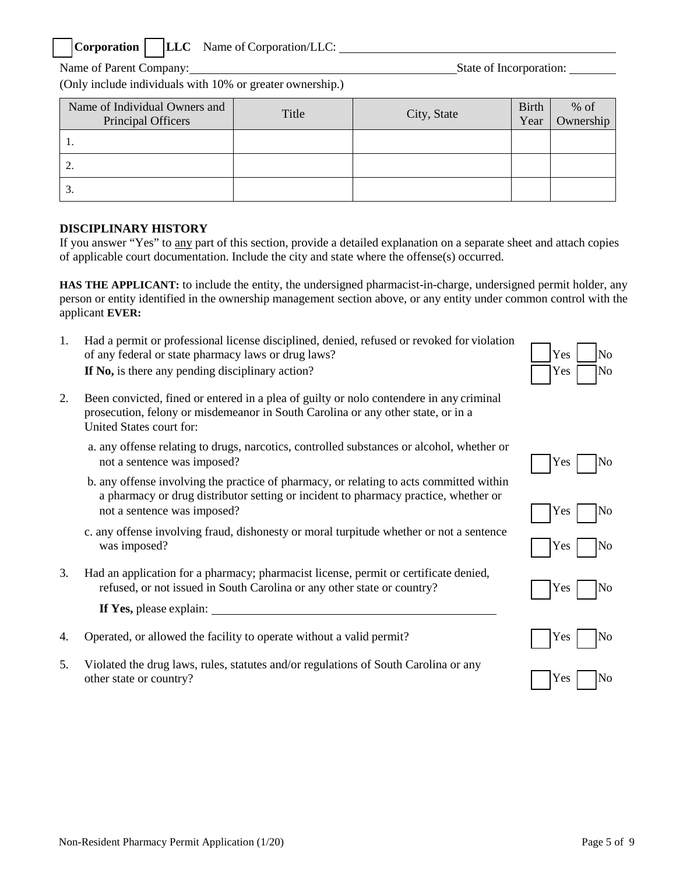## **Corporation LLC** Name of Corporation/LLC:

Name of Parent Company: State of Incorporation:

(Only include individuals with 10% or greater ownership.)

| Name of Individual Owners and<br>Principal Officers | Title | City, State | <b>Birth</b><br>Year | $%$ of<br>Ownership |
|-----------------------------------------------------|-------|-------------|----------------------|---------------------|
| ı.                                                  |       |             |                      |                     |
| <u>.</u>                                            |       |             |                      |                     |
| Ć.                                                  |       |             |                      |                     |

## **DISCIPLINARY HISTORY**

United States court for:

was imposed?

If you answer "Yes" to any part of this section, provide a detailed explanation on a separate sheet and attach copies of applicable court documentation. Include the city and state where the offense(s) occurred.

**HAS THE APPLICANT:** to include the entity, the undersigned pharmacist-in-charge, undersigned permit holder, any person or entity identified in the ownership management section above, or any entity under common control with the applicant **EVER:**

1. Had a permit or professional license disciplined, denied, refused or revoked for violation of any federal or state pharmacy laws or drug laws? If No, is there any pending disciplinary action?

2. Been convicted, fined or entered in a plea of guilty or nolo contendere in any criminal prosecution, felony or misdemeanor in South Carolina or any other state, or in a

a. any offense relating to drugs, narcotics, controlled substances or alcohol, whether or

b. any offense involving the practice of pharmacy, or relating to acts committed within a pharmacy or drug distributor setting or incident to pharmacy practice, whether or

c. any offense involving fraud, dishonesty or moral turpitude whether or not a sentence

3. Had an application for a pharmacy; pharmacist license, permit or certificate denied,

**If Yes,** please explain:

5. Violated the drug laws, rules, statutes and/or regulations of South Carolina or any

| Yes | Ñо |
|-----|----|
| Yes | Nο |



not a sentence was imposed?  $\Box$  Yes



4. Operated, or allowed the facility to operate without a valid permit?  $\Gamma$  [Yes  $\Gamma$ ] No

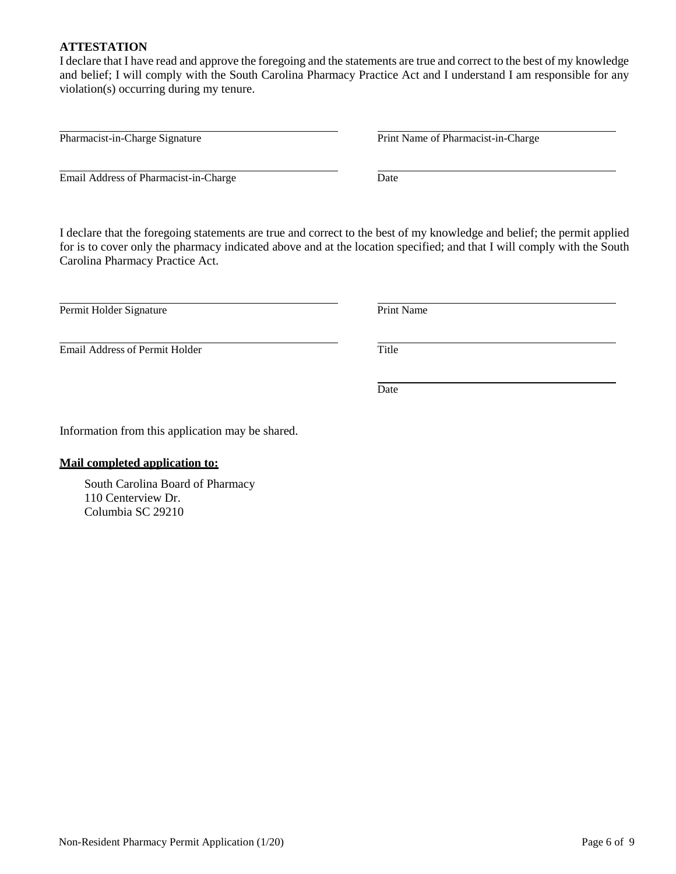#### **ATTESTATION**

I declare that I have read and approve the foregoing and the statements are true and correct to the best of my knowledge and belief; I will comply with the South Carolina Pharmacy Practice Act and I understand I am responsible for any violation(s) occurring during my tenure.

Email Address of Pharmacist-in-Charge Date

I declare that the foregoing statements are true and correct to the best of my knowledge and belief; the permit applied for is to cover only the pharmacy indicated above and at the location specified; and that I will comply with the South Carolina Pharmacy Practice Act.

Permit Holder Signature Print Name

**Email Address of Permit Holder** Title

Information from this application may be shared.

#### **Mail completed application to:**

South Carolina Board of Pharmacy 110 Centerview Dr. Columbia SC 29210

Pharmacist-in-Charge Signature **Print Name of Pharmacist-in-Charge** Print Name of Pharmacist-in-Charge

Date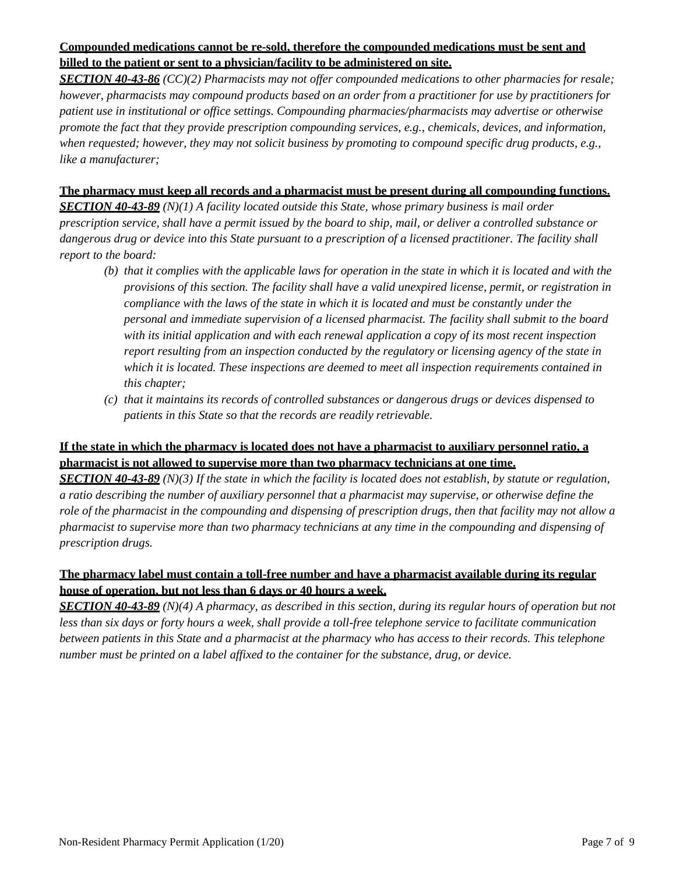## **Compounded medications cannot be re-sold, therefore the compounded medications must be sent and billed to the patient or sent to a physician/facility to be administered on site.**

*SECTION 40-43-86 (CC)(2) Pharmacists may not offer compounded medications to other pharmacies for resale; however, pharmacists may compound products based on an order from a practitioner for use by practitioners for patient use in institutional or office settings. Compounding pharmacies/pharmacists may advertise or otherwise promote the fact that they provide prescription compounding services, e.g., chemicals, devices, and information, when requested; however, they may not solicit business by promoting to compound specific drug products, e.g., like a manufacturer;*

### **The pharmacy must keep all records and a pharmacist must be present during all compounding functions.**

*SECTION 40-43-89 (N)(1) A facility located outside this State, whose primary business is mail order prescription service, shall have a permit issued by the board to ship, mail, or deliver a controlled substance or dangerous drug or device into this State pursuant to a prescription of a licensed practitioner. The facility shall report to the board:*

- *(b) that it complies with the applicable laws for operation in the state in which it is located and with the provisions of this section. The facility shall have a valid unexpired license, permit, or registration in compliance with the laws of the state in which it is located and must be constantly under the personal and immediate supervision of a licensed pharmacist. The facility shall submit to the board with its initial application and with each renewal application a copy of its most recent inspection report resulting from an inspection conducted by the regulatory or licensing agency of the state in which it is located. These inspections are deemed to meet all inspection requirements contained in this chapter;*
- *(c) that it maintains its records of controlled substances or dangerous drugs or devices dispensed to patients in this State so that the records are readily retrievable.*

## **If the state in which the pharmacy is located does not have a pharmacist to auxiliary personnel ratio, a pharmacist is not allowed to supervise more than two pharmacy technicians at one time.**

*SECTION 40-43-89 (N)(3) If the state in which the facility is located does not establish, by statute or regulation, a ratio describing the number of auxiliary personnel that a pharmacist may supervise, or otherwise define the role of the pharmacist in the compounding and dispensing of prescription drugs, then that facility may not allow a pharmacist to supervise more than two pharmacy technicians at any time in the compounding and dispensing of prescription drugs.*

## **The pharmacy label must contain a toll-free number and have a pharmacist available during its regular house of operation, but not less than 6 days or 40 hours a week.**

*SECTION 40-43-89 (N)(4) A pharmacy, as described in this section, during its regular hours of operation but not less than six days or forty hours a week, shall provide a toll-free telephone service to facilitate communication between patients in this State and a pharmacist at the pharmacy who has access to their records. This telephone number must be printed on a label affixed to the container for the substance, drug, or device.*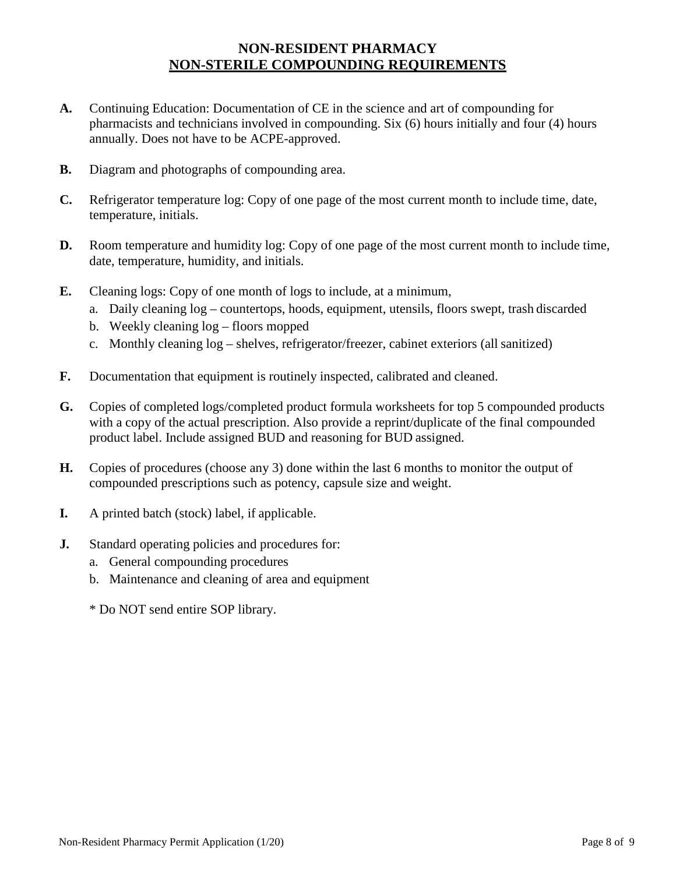# **NON-RESIDENT PHARMACY NON-STERILE COMPOUNDING REQUIREMENTS**

- **A.** Continuing Education: Documentation of CE in the science and art of compounding for pharmacists and technicians involved in compounding. Six (6) hours initially and four (4) hours annually. Does not have to be ACPE-approved.
- **B.** Diagram and photographs of compounding area.
- **C.** Refrigerator temperature log: Copy of one page of the most current month to include time, date, temperature, initials.
- **D.** Room temperature and humidity log: Copy of one page of the most current month to include time, date, temperature, humidity, and initials.
- **E.** Cleaning logs: Copy of one month of logs to include, at a minimum,
	- a. Daily cleaning log countertops, hoods, equipment, utensils, floors swept, trash discarded
	- b. Weekly cleaning log floors mopped
	- c. Monthly cleaning log shelves, refrigerator/freezer, cabinet exteriors (all sanitized)
- **F.** Documentation that equipment is routinely inspected, calibrated and cleaned.
- **G.** Copies of completed logs/completed product formula worksheets for top 5 compounded products with a copy of the actual prescription. Also provide a reprint/duplicate of the final compounded product label. Include assigned BUD and reasoning for BUD assigned.
- **H.** Copies of procedures (choose any 3) done within the last 6 months to monitor the output of compounded prescriptions such as potency, capsule size and weight.
- **I.** A printed batch (stock) label, if applicable.
- **J.** Standard operating policies and procedures for:
	- a. General compounding procedures
	- b. Maintenance and cleaning of area and equipment
	- \* Do NOT send entire SOP library.